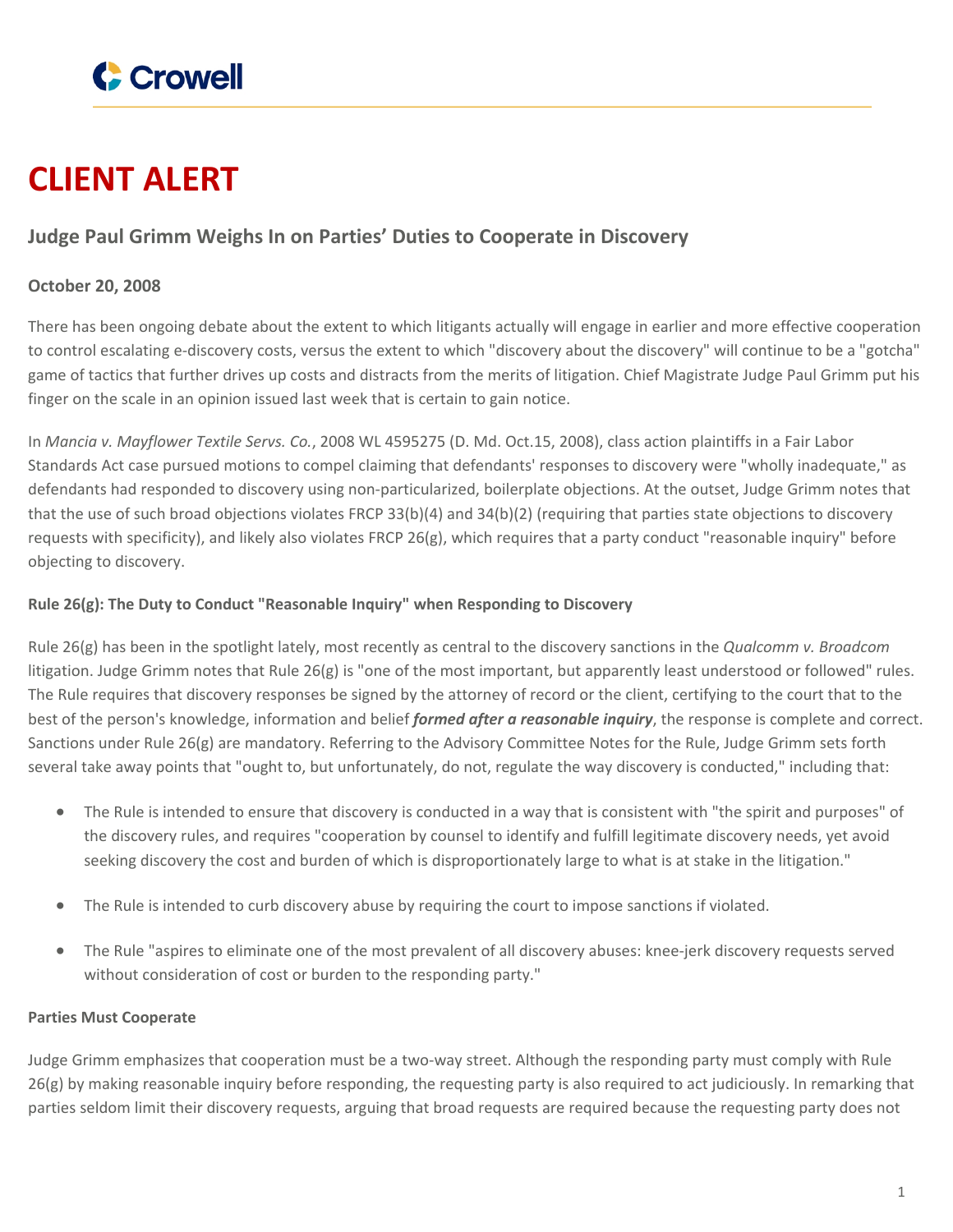

# **CLIENT ALERT**

### **Judge Paul Grimm Weighs In on Parties' Duties to Cooperate in Discovery**

#### **October 20, 2008**

There has been ongoing debate about the extent to which litigants actually will engage in earlier and more effective cooperation to control escalating e-discovery costs, versus the extent to which "discovery about the discovery" will continue to be a "gotcha" game of tactics that further drives up costs and distracts from the merits of litigation. Chief Magistrate Judge Paul Grimm put his finger on the scale in an opinion issued last week that is certain to gain notice.

In *Mancia v. Mayflower Textile Servs. Co.*, 2008 WL 4595275 (D. Md. Oct.15, 2008), class action plaintiffs in a Fair Labor Standards Act case pursued motions to compel claiming that defendants' responses to discovery were "wholly inadequate," as defendants had responded to discovery using non-particularized, boilerplate objections. At the outset, Judge Grimm notes that that the use of such broad objections violates FRCP 33(b)(4) and 34(b)(2) (requiring that parties state objections to discovery requests with specificity), and likely also violates FRCP 26(g), which requires that a party conduct "reasonable inquiry" before objecting to discovery.

#### **Rule 26(g): The Duty to Conduct "Reasonable Inquiry" when Responding to Discovery**

Rule 26(g) has been in the spotlight lately, most recently as central to the discovery sanctions in the *Qualcomm v. Broadcom* litigation. Judge Grimm notes that Rule 26(g) is "one of the most important, but apparently least understood or followed" rules. The Rule requires that discovery responses be signed by the attorney of record or the client, certifying to the court that to the best of the person's knowledge, information and belief *formed after a reasonable inquiry*, the response is complete and correct. Sanctions under Rule 26(g) are mandatory. Referring to the Advisory Committee Notes for the Rule, Judge Grimm sets forth several take away points that "ought to, but unfortunately, do not, regulate the way discovery is conducted," including that:

- The Rule is intended to ensure that discovery is conducted in a way that is consistent with "the spirit and purposes" of the discovery rules, and requires "cooperation by counsel to identify and fulfill legitimate discovery needs, yet avoid seeking discovery the cost and burden of which is disproportionately large to what is at stake in the litigation."
- The Rule is intended to curb discovery abuse by requiring the court to impose sanctions if violated.
- The Rule "aspires to eliminate one of the most prevalent of all discovery abuses: knee-jerk discovery requests served without consideration of cost or burden to the responding party."

#### **Parties Must Cooperate**

Judge Grimm emphasizes that cooperation must be a two-way street. Although the responding party must comply with Rule 26(g) by making reasonable inquiry before responding, the requesting party is also required to act judiciously. In remarking that parties seldom limit their discovery requests, arguing that broad requests are required because the requesting party does not